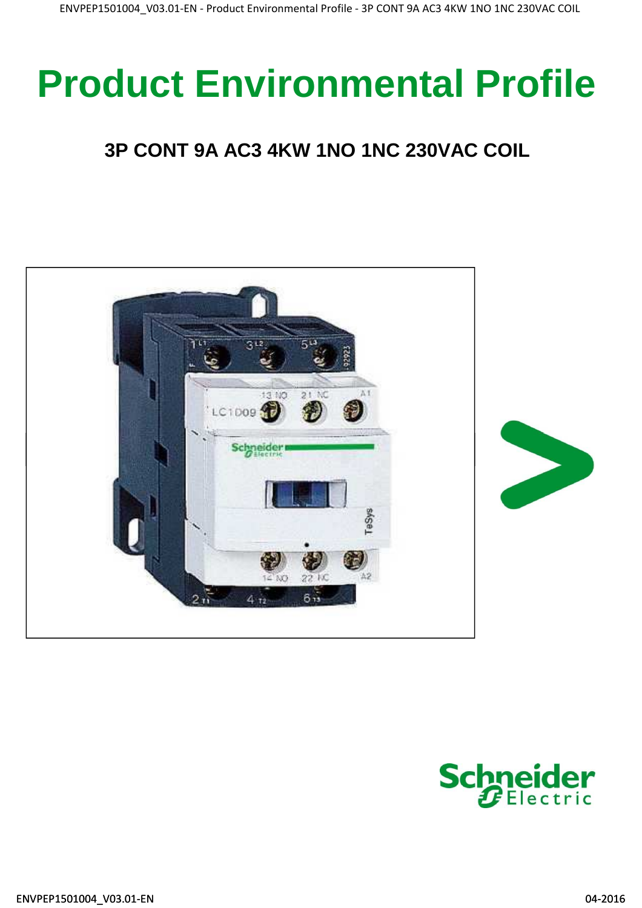# **Product Environmental Profile**

## **3P CONT 9A AC3 4KW 1NO 1NC 230VAC COIL**



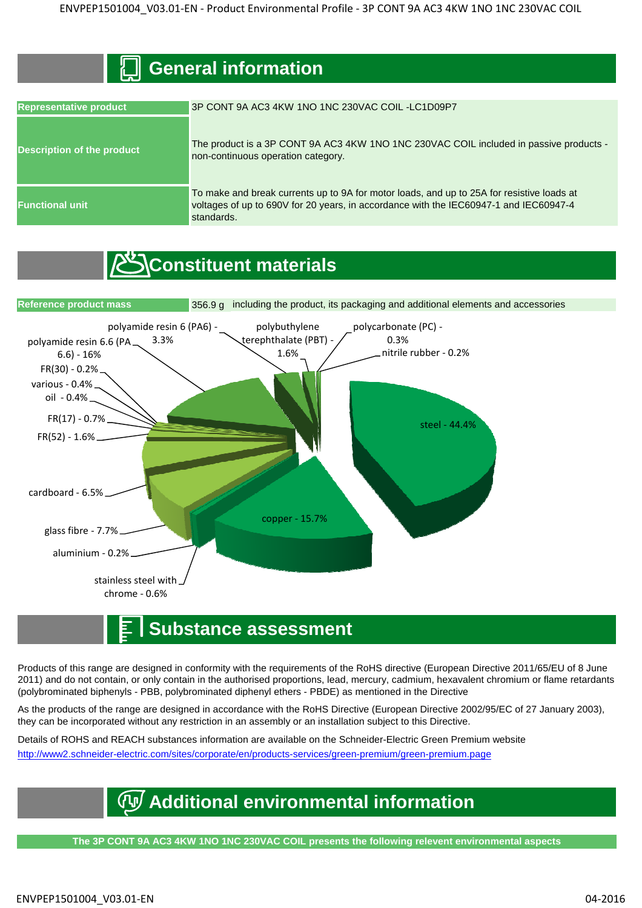#### **General information**

| <b>Representative product</b>     | 3P CONT 9A AC3 4KW 1NO 1NC 230VAC COIL-LC1D09P7                                                                                                                                                  |  |  |  |  |
|-----------------------------------|--------------------------------------------------------------------------------------------------------------------------------------------------------------------------------------------------|--|--|--|--|
| <b>Description of the product</b> | The product is a 3P CONT 9A AC3 4KW 1NO 1NC 230VAC COIL included in passive products -<br>non-continuous operation category.                                                                     |  |  |  |  |
| <b>Functional unit</b>            | To make and break currents up to 9A for motor loads, and up to 25A for resistive loads at<br>voltages of up to 690V for 20 years, in accordance with the IEC60947-1 and IEC60947-4<br>standards. |  |  |  |  |

## *C*Constituent materials



#### **Substance assessment**

Products of this range are designed in conformity with the requirements of the RoHS directive (European Directive 2011/65/EU of 8 June 2011) and do not contain, or only contain in the authorised proportions, lead, mercury, cadmium, hexavalent chromium or flame retardants (polybrominated biphenyls - PBB, polybrominated diphenyl ethers - PBDE) as mentioned in the Directive

As the products of the range are designed in accordance with the RoHS Directive (European Directive 2002/95/EC of 27 January 2003), they can be incorporated without any restriction in an assembly or an installation subject to this Directive.

Details of ROHS and REACH substances information are available on the Schneider-Electric Green Premium website http://www2.schneider-electric.com/sites/corporate/en/products-services/green-premium/green-premium.page

## **Additional environmental information**

**The 3P CONT 9A AC3 4KW 1NO 1NC 230VAC COIL presents the following relevent environmental aspects**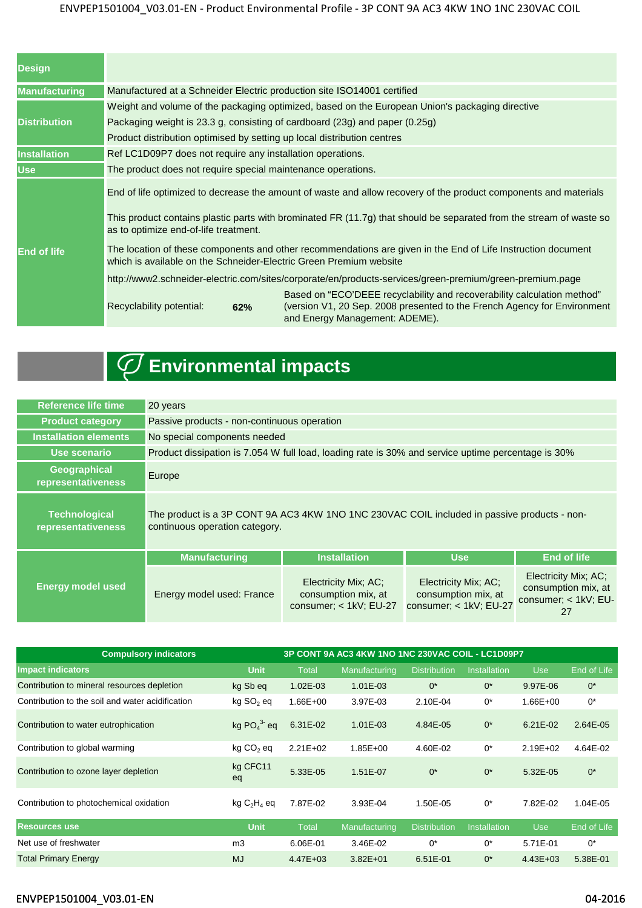#### ENVPEP1501004\_V03.01-EN - Product Environmental Profile - 3P CONT 9A AC3 4KW 1NO 1NC 230VAC COIL

| <b>Design</b>        |                                                                                                                                                                                    |                                                                                                                                                                                       |  |  |  |  |  |
|----------------------|------------------------------------------------------------------------------------------------------------------------------------------------------------------------------------|---------------------------------------------------------------------------------------------------------------------------------------------------------------------------------------|--|--|--|--|--|
| <b>Manufacturing</b> | Manufactured at a Schneider Electric production site ISO14001 certified                                                                                                            |                                                                                                                                                                                       |  |  |  |  |  |
|                      | Weight and volume of the packaging optimized, based on the European Union's packaging directive                                                                                    |                                                                                                                                                                                       |  |  |  |  |  |
| <b>Distribution</b>  | Packaging weight is 23.3 g, consisting of cardboard (23g) and paper (0.25g)                                                                                                        |                                                                                                                                                                                       |  |  |  |  |  |
|                      | Product distribution optimised by setting up local distribution centres                                                                                                            |                                                                                                                                                                                       |  |  |  |  |  |
| <b>Installation</b>  | Ref LC1D09P7 does not require any installation operations.                                                                                                                         |                                                                                                                                                                                       |  |  |  |  |  |
| <b>Use</b>           | The product does not require special maintenance operations.                                                                                                                       |                                                                                                                                                                                       |  |  |  |  |  |
|                      | End of life optimized to decrease the amount of waste and allow recovery of the product components and materials                                                                   |                                                                                                                                                                                       |  |  |  |  |  |
|                      | This product contains plastic parts with brominated FR (11.7g) that should be separated from the stream of waste so<br>as to optimize end-of-life treatment.                       |                                                                                                                                                                                       |  |  |  |  |  |
| <b>End of life</b>   | The location of these components and other recommendations are given in the End of Life Instruction document<br>which is available on the Schneider-Electric Green Premium website |                                                                                                                                                                                       |  |  |  |  |  |
|                      | http://www2.schneider-electric.com/sites/corporate/en/products-services/green-premium/green-premium.page                                                                           |                                                                                                                                                                                       |  |  |  |  |  |
|                      | Recyclability potential:<br>62%                                                                                                                                                    | Based on "ECO'DEEE recyclability and recoverability calculation method"<br>(version V1, 20 Sep. 2008 presented to the French Agency for Environment<br>and Energy Management: ADEME). |  |  |  |  |  |

## **Environmental impacts**

| <b>Reference life time</b>                 | 20 years                                                                                                                      |                                                                       |                                                                       |                                                                           |  |  |  |
|--------------------------------------------|-------------------------------------------------------------------------------------------------------------------------------|-----------------------------------------------------------------------|-----------------------------------------------------------------------|---------------------------------------------------------------------------|--|--|--|
| <b>Product category</b>                    | Passive products - non-continuous operation                                                                                   |                                                                       |                                                                       |                                                                           |  |  |  |
| <b>Installation elements</b>               | No special components needed                                                                                                  |                                                                       |                                                                       |                                                                           |  |  |  |
| Use scenario                               | Product dissipation is 7.054 W full load, loading rate is 30% and service uptime percentage is 30%                            |                                                                       |                                                                       |                                                                           |  |  |  |
| Geographical<br>representativeness         | Europe                                                                                                                        |                                                                       |                                                                       |                                                                           |  |  |  |
| <b>Technological</b><br>representativeness | The product is a 3P CONT 9A AC3 4KW 1NO 1NC 230VAC COIL included in passive products - non-<br>continuous operation category. |                                                                       |                                                                       |                                                                           |  |  |  |
|                                            | <b>Manufacturing</b>                                                                                                          | <b>Installation</b>                                                   | <b>Use</b>                                                            | <b>End of life</b>                                                        |  |  |  |
| <b>Energy model used</b>                   | Energy model used: France                                                                                                     | Electricity Mix; AC;<br>consumption mix, at<br>consumer; < 1kV; EU-27 | Electricity Mix; AC;<br>consumption mix, at<br>consumer; < 1kV; EU-27 | Electricity Mix; AC;<br>consumption mix, at<br>consumer; < 1kV; EU-<br>27 |  |  |  |

| <b>Compulsory indicators</b>                     | 3P CONT 9A AC3 4KW 1NO 1NC 230VAC COIL - LC1D09P7 |              |               |                     |                     |              |             |
|--------------------------------------------------|---------------------------------------------------|--------------|---------------|---------------------|---------------------|--------------|-------------|
| <b>Impact indicators</b>                         | <b>Unit</b>                                       | <b>Total</b> | Manufacturing | <b>Distribution</b> | <b>Installation</b> | Use          | End of Life |
| Contribution to mineral resources depletion      | kg Sb eq                                          | $1.02E - 03$ | $1.01E - 03$  | $0^*$               | $0^*$               | 9.97E-06     | $0^*$       |
| Contribution to the soil and water acidification | kg SO <sub>2</sub> eq                             | $1.66E + 00$ | 3.97E-03      | 2.10E-04            | $0^*$               | $1.66E + 00$ | $0^*$       |
| Contribution to water eutrophication             | kg $PO43$ eq                                      | 6.31E-02     | $1.01E - 03$  | 4.84E-05            | $0^*$               | $6.21E - 02$ | 2.64E-05    |
| Contribution to global warming                   | kg CO <sub>2</sub> eq                             | $2.21E + 02$ | $1.85E + 00$  | 4.60E-02            | $0^*$               | $2.19E + 02$ | 4.64E-02    |
| Contribution to ozone layer depletion            | kg CFC11<br>eq                                    | 5.33E-05     | 1.51E-07      | $0^*$               | $0^*$               | 5.32E-05     | $0^*$       |
| Contribution to photochemical oxidation          | $kg C2H4$ eq                                      | 7.87E-02     | 3.93E-04      | 1.50E-05            | $0^*$               | 7.82E-02     | 1.04E-05    |
| <b>Resources use</b>                             | <b>Unit</b>                                       | <b>Total</b> | Manufacturing | <b>Distribution</b> | <b>Installation</b> | <b>Use</b>   | End of Life |
| Net use of freshwater                            | m <sub>3</sub>                                    | 6.06E-01     | 3.46E-02      | $0^*$               | $0^*$               | 5.71E-01     | $0^*$       |
| <b>Total Primary Energy</b>                      | <b>MJ</b>                                         | $4.47E + 03$ | $3.82E + 01$  | 6.51E-01            | $0^*$               | $4.43E + 03$ | 5.38E-01    |

#### ENVPEP1501004\_V03.01-EN 04-2016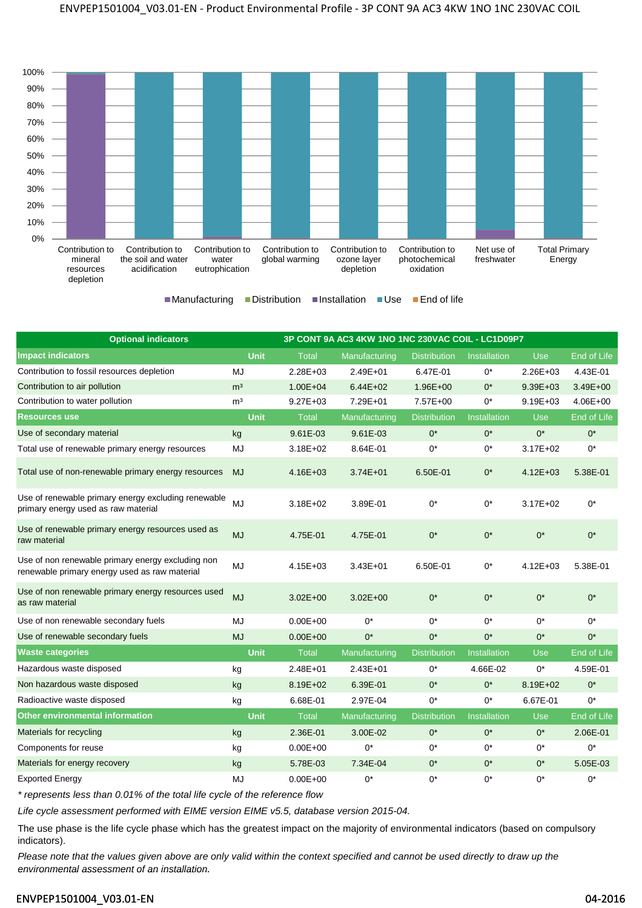

 $M$ anufacturing Distribution Installation Use End of life

| <b>Optional indicators</b>                                                                         | 3P CONT 9A AC3 4KW 1NO 1NC 230VAC COIL - LC1D09P7 |              |               |                     |                     |              |              |
|----------------------------------------------------------------------------------------------------|---------------------------------------------------|--------------|---------------|---------------------|---------------------|--------------|--------------|
| <b>Impact indicators</b>                                                                           | <b>Unit</b>                                       | <b>Total</b> | Manufacturing | <b>Distribution</b> | <b>Installation</b> | <b>Use</b>   | End of Life  |
| Contribution to fossil resources depletion                                                         | MJ                                                | $2.28E + 03$ | $2.49E + 01$  | 6.47E-01            | $0^*$               | $2.26E + 03$ | 4.43E-01     |
| Contribution to air pollution                                                                      | m <sup>3</sup>                                    | $1.00E + 04$ | $6.44E + 02$  | $1.96E + 00$        | $0^*$               | $9.39E + 03$ | $3.49E + 00$ |
| Contribution to water pollution                                                                    | m <sup>3</sup>                                    | $9.27E + 03$ | 7.29E+01      | 7.57E+00            | $0^*$               | $9.19E + 03$ | $4.06E + 00$ |
| <b>Resources use</b>                                                                               | <b>Unit</b>                                       | <b>Total</b> | Manufacturing | <b>Distribution</b> | <b>Installation</b> | <b>Use</b>   | End of Life  |
| Use of secondary material                                                                          | kg                                                | $9.61E - 03$ | 9.61E-03      | $0^*$               | $0^*$               | $0^*$        | $0^*$        |
| Total use of renewable primary energy resources                                                    | MJ                                                | $3.18E + 02$ | 8.64E-01      | $0^*$               | $0^*$               | $3.17E + 02$ | $0^*$        |
| Total use of non-renewable primary energy resources                                                | <b>MJ</b>                                         | $4.16E + 03$ | $3.74E + 01$  | 6.50E-01            | $0^*$               | $4.12E + 03$ | 5.38E-01     |
| Use of renewable primary energy excluding renewable<br>primary energy used as raw material         | MJ                                                | $3.18E + 02$ | 3.89E-01      | $0^*$               | $0^*$               | $3.17E + 02$ | $0^*$        |
| Use of renewable primary energy resources used as<br>raw material                                  | <b>MJ</b>                                         | 4.75E-01     | 4.75E-01      | $0^*$               | $0^*$               | $0^*$        | $0^*$        |
| Use of non renewable primary energy excluding non<br>renewable primary energy used as raw material | MJ                                                | $4.15E + 03$ | $3.43E + 01$  | 6.50E-01            | $0^*$               | $4.12E + 03$ | 5.38E-01     |
| Use of non renewable primary energy resources used<br>as raw material                              | <b>MJ</b>                                         | $3.02E + 00$ | $3.02E + 00$  | $0^*$               | $0^*$               | $0^*$        | $0^*$        |
| Use of non renewable secondary fuels                                                               | MJ                                                | $0.00E + 00$ | $0^*$         | $0^*$               | $0^*$               | $0^*$        | $0^*$        |
| Use of renewable secondary fuels                                                                   | <b>MJ</b>                                         | $0.00E + 00$ | $0^*$         | $0^*$               | $0^*$               | $0^*$        | $0^*$        |
| <b>Waste categories</b>                                                                            | <b>Unit</b>                                       | <b>Total</b> | Manufacturing | <b>Distribution</b> | Installation        | Use          | End of Life  |
| Hazardous waste disposed                                                                           | kg                                                | $2.48E + 01$ | $2.43E + 01$  | $0^*$               | 4.66E-02            | $0^*$        | 4.59E-01     |
| Non hazardous waste disposed                                                                       | kg                                                | 8.19E+02     | 6.39E-01      | $0^*$               | $0^*$               | 8.19E+02     | $0^*$        |
| Radioactive waste disposed                                                                         | kg                                                | 6.68E-01     | 2.97E-04      | $0^*$               | $0^*$               | 6.67E-01     | $0^*$        |
| Other environmental information                                                                    | <b>Unit</b>                                       | Total        | Manufacturing | <b>Distribution</b> | <b>Installation</b> | <b>Use</b>   | End of Life  |
| Materials for recycling                                                                            | kg                                                | 2.36E-01     | 3.00E-02      | $0^*$               | $0^*$               | $0^*$        | 2.06E-01     |
| Components for reuse                                                                               | kg                                                | $0.00E + 00$ | 0*            | 0*                  | $0^*$               | $0^*$        | $0^*$        |
| Materials for energy recovery                                                                      | kg                                                | 5.78E-03     | 7.34E-04      | $0^*$               | $0^*$               | $0^*$        | 5.05E-03     |
| <b>Exported Energy</b>                                                                             | MJ                                                | $0.00E + 00$ | $0^*$         | $0^*$               | $0^*$               | $0^*$        | $0^*$        |

\* represents less than 0.01% of the total life cycle of the reference flow

Life cycle assessment performed with EIME version EIME v5.5, database version 2015-04.

The use phase is the life cycle phase which has the greatest impact on the majority of environmental indicators (based on compulsory indicators).

Please note that the values given above are only valid within the context specified and cannot be used directly to draw up the environmental assessment of an installation.

#### ENVPEP1501004\_V03.01-EN 04-2016